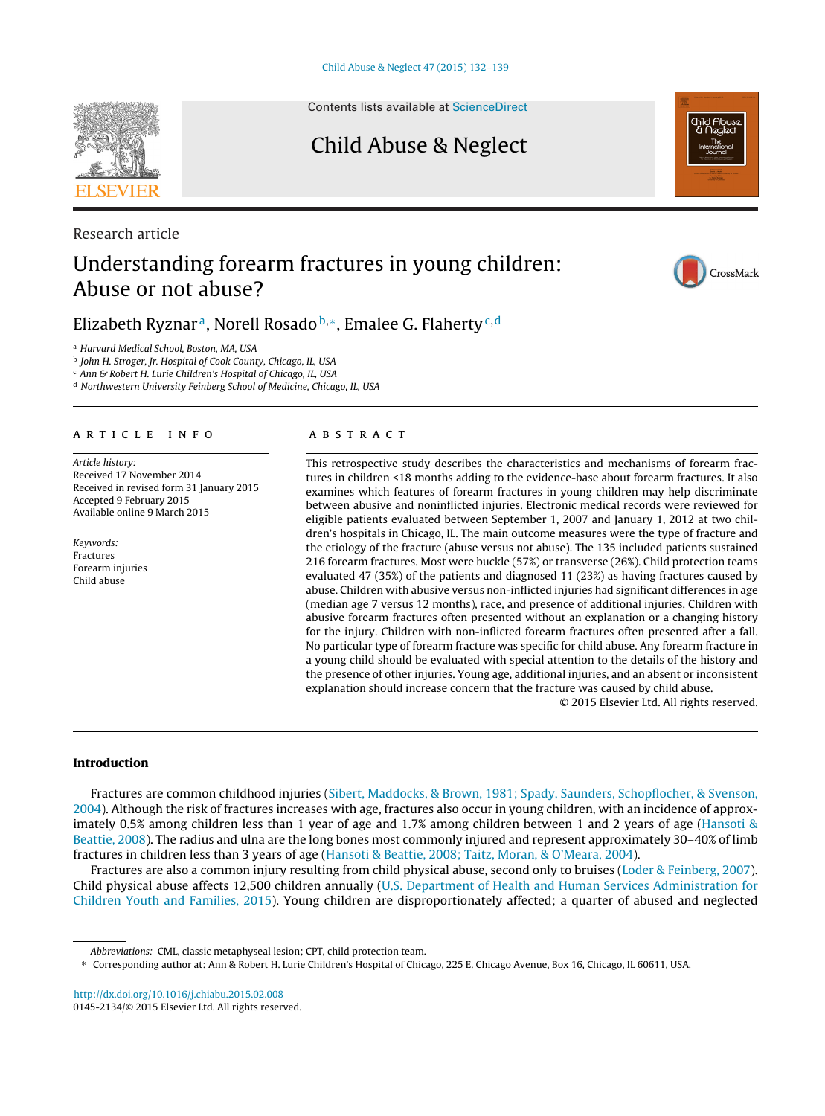Contents lists available at [ScienceDirect](http://www.sciencedirect.com/science/journal/01452134)

Child Abuse & Neglect

Research article

# Understanding forearm fractures in young children: Abuse or not abuse?

Elizabeth Ryznar<sup>a</sup>, Norell Rosado<sup>b,</sup>\*, Emalee G. Flaherty<sup>c, d</sup>

<sup>a</sup> Harvard Medical School, Boston, MA, USA

<sup>b</sup> John H. Stroger, Jr. Hospital of Cook County, Chicago, IL, USA

<sup>c</sup> Ann & Robert H. Lurie Children's Hospital of Chicago, IL, USA

<sup>d</sup> Northwestern University Feinberg School of Medicine, Chicago, IL, USA

### a r t i c l e i n f o

Article history: Received 17 November 2014 Received in revised form 31 January 2015 Accepted 9 February 2015 Available online 9 March 2015

Keywords: Fractures Forearm injuries Child abuse

### A B S T R A C T

This retrospective study describes the characteristics and mechanisms of forearm fractures in children <18 months adding to the evidence-base about forearm fractures. It also examines which features of forearm fractures in young children may help discriminate between abusive and noninflicted injuries. Electronic medical records were reviewed for eligible patients evaluated between September 1, 2007 and January 1, 2012 at two children's hospitals in Chicago, IL. The main outcome measures were the type of fracture and the etiology of the fracture (abuse versus not abuse). The 135 included patients sustained 216 forearm fractures. Most were buckle (57%) or transverse (26%). Child protection teams evaluated 47 (35%) of the patients and diagnosed 11 (23%) as having fractures caused by abuse. Children with abusive versus non-inflicted injuries had significant differences in age (median age 7 versus 12 months), race, and presence of additional injuries. Children with abusive forearm fractures often presented without an explanation or a changing history for the injury. Children with non-inflicted forearm fractures often presented after a fall. No particular type of forearm fracture was specific for child abuse. Any forearm fracture in a young child should be evaluated with special attention to the details of the history and the presence of other injuries. Young age, additional injuries, and an absent or inconsistent explanation should increase concern that the fracture was caused by child abuse.

© 2015 Elsevier Ltd. All rights reserved.

### **Introduction**

Fractures are common childhood injuries [\(Sibert,](#page--1-0) [Maddocks,](#page--1-0) [&](#page--1-0) [Brown,](#page--1-0) [1981;](#page--1-0) [Spady,](#page--1-0) [Saunders,](#page--1-0) [Schopflocher,](#page--1-0) [&](#page--1-0) [Svenson,](#page--1-0) [2004\).](#page--1-0) Although the risk of fractures increases with age, fractures also occur in young children, with an incidence of approximately 0.5% among children less than 1 year of age and 1.7% among children between 1 and 2 years of age [\(Hansoti](#page--1-0) [&](#page--1-0) [Beattie,](#page--1-0) [2008\).](#page--1-0) The radius and ulna are the long bones most commonly injured and represent approximately 30–40% of limb fractures in children less than 3 years of age [\(Hansoti](#page--1-0) [&](#page--1-0) [Beattie,](#page--1-0) [2008;](#page--1-0) [Taitz,](#page--1-0) [Moran,](#page--1-0) [&](#page--1-0) [O'Meara,](#page--1-0) [2004\).](#page--1-0)

Fractures are also a common injury resulting from child physical abuse, second only to bruises [\(Loder](#page--1-0) [&](#page--1-0) [Feinberg,](#page--1-0) [2007\).](#page--1-0) Child physical abuse affects 12,500 children annually [\(U.S.](#page--1-0) [Department](#page--1-0) [of](#page--1-0) [Health](#page--1-0) [and](#page--1-0) [Human](#page--1-0) [Services](#page--1-0) [Administration](#page--1-0) [for](#page--1-0) [Children](#page--1-0) [Youth](#page--1-0) [and](#page--1-0) [Families,](#page--1-0) [2015\).](#page--1-0) Young children are disproportionately affected; a quarter of abused and neglected

[http://dx.doi.org/10.1016/j.chiabu.2015.02.008](dx.doi.org/10.1016/j.chiabu.2015.02.008) 0145-2134/© 2015 Elsevier Ltd. All rights reserved.







Abbreviations: CML, classic metaphyseal lesion; CPT, child protection team.

<sup>∗</sup> Corresponding author at: Ann & Robert H. Lurie Children's Hospital of Chicago, 225 E. Chicago Avenue, Box 16, Chicago, IL 60611, USA.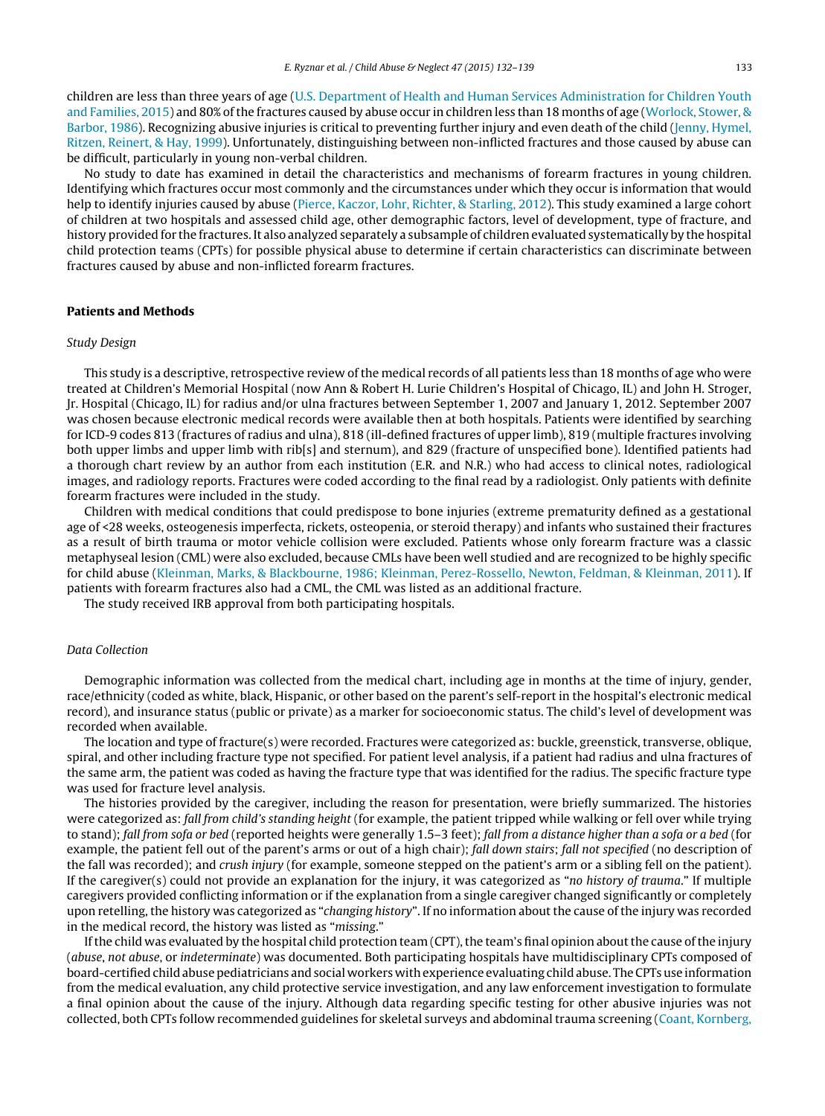children are less than three years of age [\(U.S.](#page--1-0) [Department](#page--1-0) [of](#page--1-0) [Health](#page--1-0) [and](#page--1-0) [Human](#page--1-0) [Services](#page--1-0) [Administration](#page--1-0) [for](#page--1-0) [Children](#page--1-0) [Youth](#page--1-0) [and](#page--1-0) [Families,](#page--1-0) [2015\)](#page--1-0) and 80% ofthe fractures caused by abuse occur in children less than 18 months of age [\(Worlock,](#page--1-0) [Stower,](#page--1-0) [&](#page--1-0) [Barbor,](#page--1-0) [1986\).](#page--1-0) Recognizing abusive injuries is critical to preventing further injury and even death of the child ([Jenny,](#page--1-0) [Hymel,](#page--1-0) [Ritzen,](#page--1-0) [Reinert,](#page--1-0) [&](#page--1-0) [Hay,](#page--1-0) [1999\).](#page--1-0) Unfortunately, distinguishing between non-inflicted fractures and those caused by abuse can be difficult, particularly in young non-verbal children.

No study to date has examined in detail the characteristics and mechanisms of forearm fractures in young children. Identifying which fractures occur most commonly and the circumstances under which they occur is information that would help to identify injuries caused by abuse [\(Pierce,](#page--1-0) [Kaczor,](#page--1-0) [Lohr,](#page--1-0) [Richter,](#page--1-0) [&](#page--1-0) [Starling,](#page--1-0) [2012\).](#page--1-0) This study examined a large cohort of children at two hospitals and assessed child age, other demographic factors, level of development, type of fracture, and history provided for the fractures. It also analyzed separately a subsample of children evaluated systematically by the hospital child protection teams (CPTs) for possible physical abuse to determine if certain characteristics can discriminate between fractures caused by abuse and non-inflicted forearm fractures.

# **Patients and Methods**

## Study Design

This study is a descriptive, retrospective review of the medical records of all patients less than 18 months of age who were treated at Children's Memorial Hospital (now Ann & Robert H. Lurie Children's Hospital of Chicago, IL) and John H. Stroger, Jr. Hospital (Chicago, IL) for radius and/or ulna fractures between September 1, 2007 and January 1, 2012. September 2007 was chosen because electronic medical records were available then at both hospitals. Patients were identified by searching for ICD-9 codes 813 (fractures of radius and ulna), 818 (ill-defined fractures of upper limb), 819 (multiple fractures involving both upper limbs and upper limb with rib[s] and sternum), and 829 (fracture of unspecified bone). Identified patients had a thorough chart review by an author from each institution (E.R. and N.R.) who had access to clinical notes, radiological images, and radiology reports. Fractures were coded according to the final read by a radiologist. Only patients with definite forearm fractures were included in the study.

Children with medical conditions that could predispose to bone injuries (extreme prematurity defined as a gestational age of <28 weeks, osteogenesis imperfecta, rickets, osteopenia, or steroid therapy) and infants who sustained their fractures as a result of birth trauma or motor vehicle collision were excluded. Patients whose only forearm fracture was a classic metaphyseal lesion (CML) were also excluded, because CMLs have been well studied and are recognized to be highly specific for child abuse [\(Kleinman,](#page--1-0) [Marks,](#page--1-0) [&](#page--1-0) [Blackbourne,](#page--1-0) [1986;](#page--1-0) [Kleinman,](#page--1-0) [Perez-Rossello,](#page--1-0) [Newton,](#page--1-0) [Feldman,](#page--1-0) [&](#page--1-0) [Kleinman,](#page--1-0) [2011\).](#page--1-0) If patients with forearm fractures also had a CML, the CML was listed as an additional fracture.

The study received IRB approval from both participating hospitals.

# Data Collection

Demographic information was collected from the medical chart, including age in months at the time of injury, gender, race/ethnicity (coded as white, black, Hispanic, or other based on the parent's self-report in the hospital's electronic medical record), and insurance status (public or private) as a marker for socioeconomic status. The child's level of development was recorded when available.

The location and type of fracture(s) were recorded. Fractures were categorized as: buckle, greenstick, transverse, oblique, spiral, and other including fracture type not specified. For patient level analysis, if a patient had radius and ulna fractures of the same arm, the patient was coded as having the fracture type that was identified for the radius. The specific fracture type was used for fracture level analysis.

The histories provided by the caregiver, including the reason for presentation, were briefly summarized. The histories were categorized as: fall from child's standing height (for example, the patient tripped while walking or fell over while trying to stand); fall from sofa or bed (reported heights were generally 1.5–3 feet); fall from a distance higher than a sofa or a bed (for example, the patient fell out of the parent's arms or out of a high chair); fall down stairs; fall not specified (no description of the fall was recorded); and crush injury (for example, someone stepped on the patient's arm or a sibling fell on the patient). If the caregiver(s) could not provide an explanation for the injury, it was categorized as "no history of trauma." If multiple caregivers provided conflicting information or if the explanation from a single caregiver changed significantly or completely upon retelling, the history was categorized as "changing history". If no information about the cause of the injury was recorded in the medical record, the history was listed as "missing."

If the child was evaluated by the hospital child protection team (CPT), the team's final opinion about the cause of the injury (abuse, not abuse, or indeterminate) was documented. Both participating hospitals have multidisciplinary CPTs composed of board-certified child abuse pediatricians and social workers with experience evaluating child abuse. The CPTs use information from the medical evaluation, any child protective service investigation, and any law enforcement investigation to formulate a final opinion about the cause of the injury. Although data regarding specific testing for other abusive injuries was not collected, both CPTs follow recommended guidelines for skeletal surveys and abdominal trauma screening [\(Coant,](#page--1-0) [Kornberg,](#page--1-0)